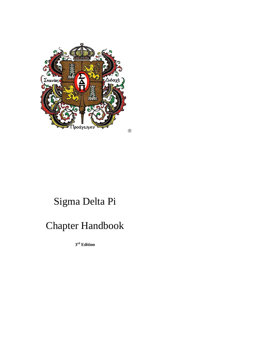

# Sigma Delta Pi

## Chapter Handbook

**3 rd Edition**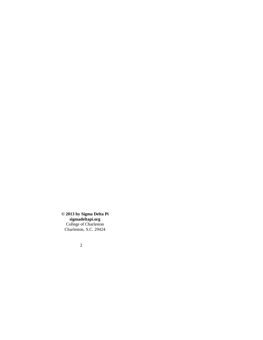**© 2013 by Sigma Delta Pi sigmadeltapi.org** College of Charleston Charleston, S.C. 29424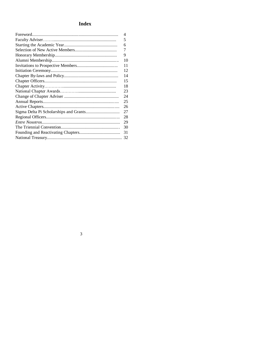## **Index**

| 4  |
|----|
| 5  |
| 6  |
| 7  |
| 9  |
| 10 |
| 11 |
| 12 |
| 14 |
| 15 |
| 18 |
| 23 |
| 24 |
| 25 |
| 26 |
| 27 |
| 28 |
| 29 |
| 30 |
| 31 |
|    |
|    |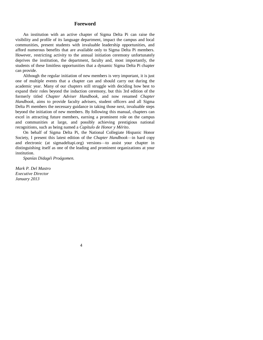## **Foreword**

An institution with an active chapter of Sigma Delta Pi can raise the visibility and profile of its language department, impact the campus and local communities, present students with invaluable leadership opportunities, and afford numerous benefits that are available only to Sigma Delta Pi members. However, restricting activity to the annual initiation ceremony unfortunately deprives the institution, the department, faculty and, most importantly, the students of these limitless opportunities that a dynamic Sigma Delta Pi chapter can provide.

Although the regular initiation of new members is very important, it is just one of multiple events that a chapter can and should carry out during the academic year. Many of our chapters still struggle with deciding how best to expand their roles beyond the induction ceremony, but this 3rd edition of the formerly titled *Chapter Adviser Handbook*, and now renamed *Chapter Handbook*, aims to provide faculty advisers, student officers and all Sigma Delta Pi members the necessary guidance in taking those next, invaluable steps beyond the initiation of new members. By following this manual, chapters can excel in attracting future members, earning a prominent role on the campus and communities at large, and possibly achieving prestigious national recognitions, such as being named a *Capítulo de Honor y Mérito*.

On behalf of Sigma Delta Pi, the National Collegiate Hispanic Honor Society, I present this latest edition of the *Chapter Handbook*—in hard copy and electronic (at sigmadeltapi.org) versions—to assist your chapter in distinguishing itself as one of the leading and prominent organizations at your institution.

*Spanías Didagéi Proágomen.*

*Mark P. Del Mastro Executive Director January 2013*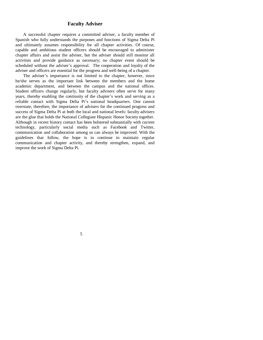#### **Faculty Adviser**

A successful chapter requires a committed adviser, a faculty member of Spanish who fully understands the purposes and functions of Sigma Delta Pi and ultimately assumes responsibility for all chapter activities. Of course, capable and ambitious student officers should be encouraged to administer chapter affairs and assist the adviser, but the adviser should still monitor all activities and provide guidance as necessary; no chapter event should be scheduled without the adviser's approval. The cooperation and loyalty of the adviser and officers are essential for the progress and well-being of a chapter.

The adviser's importance is not limited to the chapter, however, since he/she serves as the important link between the members and the home academic department, and between the campus and the national offices. Student officers change regularly, but faculty advisers often serve for many years, thereby enabling the continuity of the chapter's work and serving as a reliable contact with Sigma Delta Pi's national headquarters. One cannot overstate, therefore, the importance of advisers for the continued progress and success of Sigma Delta Pi at both the local and national levels: faculty advisers are the glue that holds the National Collegiate Hispanic Honor Society together. Although in recent history contact has been bolstered substantially with current technology, particularly social media such as Facebook and Twitter, communication and collaboration among us can always be improved. With the guidelines that follow, the hope is to continue to maintain regular communication and chapter activity, and thereby strengthen, expand, and improve the work of Sigma Delta Pi.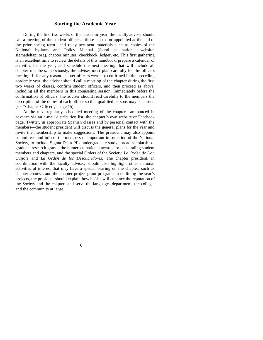#### **Starting the Academic Year**

During the first two weeks of the academic year, the faculty adviser should call a meeting of the student officers—those elected or appointed at the end of the prior spring term—and relay pertinent materials such as copies of the National by-laws and Policy Manual (found at national website: sigmadeltapi.org), chapter minutes, checkbook, ledger, etc. This first gathering is an excellent time to review the details of this handbook, prepare a calendar of activities for the year, and schedule the next meeting that will include all chapter members. Obviously, the adviser must plan carefully for the officers meeting. If for any reason chapter officers were not confirmed in the preceding academic year, the adviser should call a meeting of the chapter during the first two weeks of classes, confirm student officers, and then proceed as above, including all the members in this counseling session. Immediately before the confirmation of officers, the adviser should read carefully to the members the description of the duties of each officer so that qualified persons may be chosen (see "Chapter Officers," page 15).

At the next regularly scheduled meeting of the chapter—announced in advance via an e-mail distribution list, the chapter's own website or Facebook page, Twitter, in appropriate Spanish classes and by personal contact with the members—the student president will discuss the general plans for the year and invite the membership to make suggestions. The president may also appoint committees and inform the members of important information of the National Society, to include Sigma Delta Pi's undergraduate study abroad scholarships, graduate research grants, the numerous national awards for outstanding student members and chapters, and the special Orders of the Society: *La Orden de Don Quijote* and *La Orden de los Descubridores*. The chapter president, in coordination with the faculty adviser, should also highlight other national activities of interest that may have a special bearing on the chapter, such as chapter contests and the chapter project grant program. In outlining the year's projects, the president should explain how he/she will enhance the reputation of the Society and the chapter, and serve the languages department, the college, and the community at large.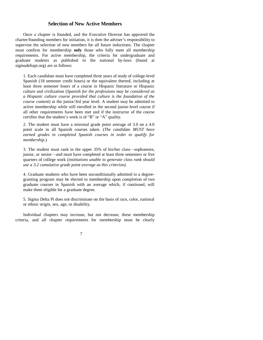#### **Selection of New Active Members**

Once a chapter is founded, and the Executive Director has approved the charter/founding members for initiation, it is then the adviser's responsibility to supervise the selection of new members for all future inductions. The chapter must confirm for membership **only** those who fully meet all membership requirements. For active membership, the criteria for undergraduate and graduate students as published in the national by-laws (found at sigmadeltapi.org) are as follows:

1. Each candidate must have completed three years of study of college-level Spanish (18 semester credit hours) or the equivalent thereof, including at least three semester hours of a course in Hispanic literature or Hispanic culture and civilization (*Spanish for the professions may be considered as a Hispanic culture course provided that culture is the foundation of the course content*) at the junior/3rd year level. A student may be admitted to active membership while still enrolled in the second junior-level course if all other requirements have been met and if the instructor of the course certifies that the student's work is of "B" or "A" quality.

2. The student must have a minimal grade point average of 3.0 on a 4.0 point scale in all Spanish courses taken. (*The candidate MUST have earned grades in completed Spanish courses in order to qualify for membership*.)

3. The student must rank in the upper 35% of his/her class—sophomore, junior, or senior—and must have completed at least three semesters or five quarters of college work (*institutions unable to generate class rank should use a 3.2 cumulative grade point average as this criterion)*.

4. Graduate students who have been unconditionally admitted to a degreegranting program may be elected to membership upon completion of two graduate courses in Spanish with an average which, if continued, will make them eligible for a graduate degree.

5. Sigma Delta Pi does not discriminate on the basis of race, color, national or ethnic origin, sex, age, or disability.

Individual chapters may increase, but not decrease, these membership criteria, and all chapter requirements for membership must be clearly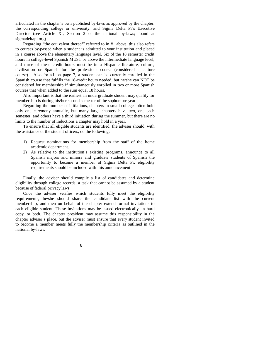articulated in the chapter's own published by-laws as approved by the chapter, the corresponding college or university, and Sigma Delta Pi's Executive Director (see Article XI, Section 2 of the national by-laws; found at sigmadeltapi.org).

Regarding "the equivalent thereof" referred to in #1 above, this also refers to courses by-passed when a student is admitted to your institution and placed in a course above the elementary language level. Six of the 18 semester credit hours in college-level Spanish MUST be above the intermediate language level, and three of these credit hours must be in a Hispanic literature, culture, civilization or Spanish for the professions course (considered a culture course). Also for #1 on page 7, a student can be currently enrolled in the Spanish course that fulfills the 18-credit hours needed, but he/she can NOT be considered for membership if simultaneously enrolled in two or more Spanish courses that when added to the sum equal 18 hours.

Also important is that the earliest an undergraduate student may qualify for membership is during his/her second semester of the sophomore year.

Regarding the number of initiations, chapters in small colleges often hold only one ceremony annually, but many large chapters have two, one each semester, and others have a third initiation during the summer, but there are no limits to the number of inductions a chapter may hold in a year.

To ensure that all eligible students are identified, the adviser should, with the assistance of the student officers, do the following:

- 1) Request nominations for membership from the staff of the home academic department.
- 2) As relative to the institution's existing programs, announce to all Spanish majors and minors and graduate students of Spanish the opportunity to become a member of Sigma Delta Pi; eligibility requirements should be included with this announcement.

Finally, the adviser should compile a list of candidates and determine eligibility through college records, a task that cannot be assumed by a student because of federal privacy laws.

Once the adviser verifies which students fully meet the eligibility requirements, he/she should share the candidate list with the current membership, and then on behalf of the chapter extend formal invitations to each eligible student. These invitations may be issued electronically, in hard copy, or both. The chapter president may assume this responsibility in the chapter adviser's place, but the adviser must ensure that every student invited to become a member meets fully the membership criteria as outlined in the national by-laws.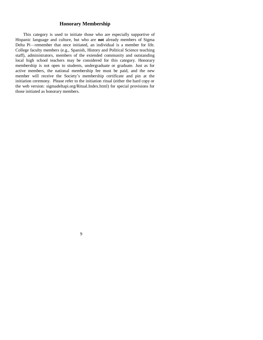## **Honorary Membership**

This category is used to initiate those who are especially supportive of Hispanic language and culture, but who are **not** already members of Sigma Delta Pi—remember that once initiated, an individual is a member for life. College faculty members (e.g., Spanish, History and Political Science teaching staff), administrators, members of the extended community and outstanding local high school teachers may be considered for this category. Honorary membership is not open to students, undergraduate or graduate. Just as for active members, the national membership fee must be paid, and the new member will receive the Society's membership certificate and pin at the initiation ceremony. Please refer to the initiation ritual (either the hard copy or the web version: sigmadeltapi.org/Ritual.Index.html) for special provisions for those initiated as honorary members.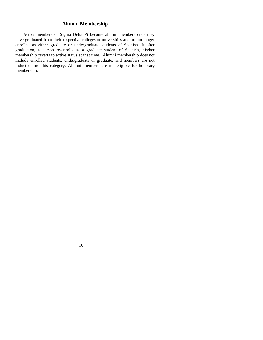## **Alumni Membership**

Active members of Sigma Delta Pi become alumni members once they have graduated from their respective colleges or universities and are no longer enrolled as either graduate or undergraduate students of Spanish. If after graduation, a person re-enrolls as a graduate student of Spanish, his/her membership reverts to active status at that time. Alumni membership does not include enrolled students, undergraduate or graduate, and members are not inducted into this category. Alumni members are not eligible for honorary membership.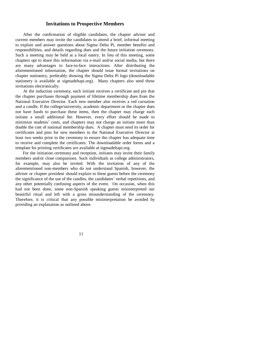#### **Invitations to Prospective Members**

After the confirmation of eligible candidates, the chapter adviser and current members may invite the candidates to attend a brief, informal meeting to explain and answer questions about Sigma Delta Pi, member benefits and responsibilities, and details regarding dues and the future initiation ceremony. Such a meeting may be held at a local eatery. In lieu of this meeting, some chapters opt to share this information via e-mail and/or social media, but there are many advantages to face-to-face interactions. After distributing the aforementioned information, the chapter should issue formal invitations on chapter stationery, preferably showing the Sigma Delta Pi logo (downloadable stationery is available at sigmadeltapi.org). Many chapters also send these invitations electronically.

At the induction ceremony, each initiate receives a certificate and pin that the chapter purchases through payment of lifetime membership dues from the National Executive Director. Each new member also receives a red carnation and a candle. If the college/university, academic department or the chapter does not have funds to purchase these items, then the chapter may charge each initiate a small additional fee. However, every effort should be made to minimize students' costs, and chapters may not charge an initiate more than double the cost of national membership dues. A chapter must send its order for certificates and pins for new members to the National Executive Director at least two weeks prior to the ceremony to ensure the chapter has adequate time to receive and complete the certificates. The downloadable order forms and a template for printing certificates are available at sigmadeltapi.org.

For the initiation ceremony and reception, initiates may invite their family members and/or close companions. Such individuals as college administrators, for example, may also be invited. With the invitation of any of the aforementioned non-members who do not understand Spanish, however, the adviser or chapter president should explain to these guests before the ceremony the significance of the use of the candles, the candidates' verbal repetitions, and any other potentially confusing aspects of the event. On occasion, when this had not been done, some non-Spanish speaking guests misinterpreted our beautiful ritual and left with a gross misunderstanding of the ceremony. Therefore, it is critical that any possible misinterpretation be avoided by providing an explanation as outlined above.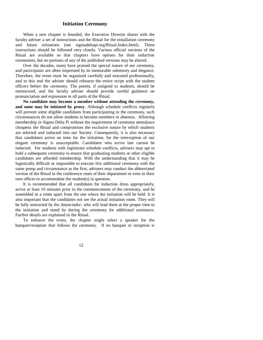## **Initiation Ceremony**

When a new chapter is founded, the Executive Director shares with the faculty adviser a set of instructions and the Ritual for the installation ceremony and future initiations (see sigmadeltapi.org/Ritual.Index.html). These instructions should be followed very closely. Various official versions of the Ritual are available so that chapters have options for their induction ceremonies, but no portions of any of the published versions may be altered.

Over the decades, many have praised the special nature of our ceremony, and participants are often impressed by its memorable solemnity and elegance. Therefore, the event must be organized carefully and executed professionally, and to this end the adviser should rehearse the entire script with the student officers before the ceremony. The poems, if assigned to students, should be memorized, and the faculty adviser should provide careful guidance on pronunciation and expression in all parts of the Ritual.

**No candidate may become a member without attending the ceremony, and none may be initiated by proxy.** Although schedule conflicts regularly will prevent some eligible candidates from participating in the ceremony, such circumstances do not allow students to become members in absentia. Allowing membership in Sigma Delta Pi without the requirement of ceremony attendance cheapens the Ritual and compromises the exclusive nature by which students are selected and inducted into our Society. Consequently, it is also necessary that candidates arrive on time for the initiation, for the interruption of our elegant ceremony is unacceptable. Candidates who arrive late cannot be inducted. For students with legitimate schedule conflicts, advisers may opt to hold a subsequent ceremony to ensure that graduating students or other eligible candidates are afforded membership. With the understanding that it may be logistically difficult or impossible to execute this additional ceremony with the same pomp and circumstance as the first, advisers may conduct the abbreviated version of the Ritual in the conference room of their department or even in their own offices to accommodate the student(s) in question.

It is recommended that all candidates for induction dress appropriately, arrive at least 10 minutes prior to the commencement of the ceremony, and be assembled in a room apart from the one where the initiation will be held. It is also important that the candidates not see the actual initiation room. They will be fully instructed by the *Anunciador*, who will lead them at the proper time to the initiation and stand by during the ceremony for additional assistance. Further details are explained in the Ritual.

To enhance the event, the chapter might select a speaker for the banquet/reception that follows the ceremony. If no banquet or reception is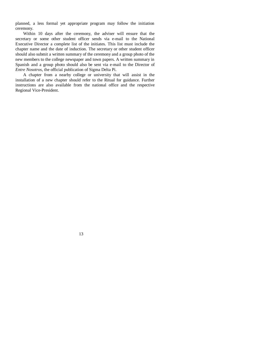planned, a less formal yet appropriate program may follow the initiation ceremony.

Within 10 days after the ceremony, the adviser will ensure that the secretary or some other student officer sends via e-mail to the National Executive Director a complete list of the initiates. This list must include the chapter name and the date of induction. The secretary or other student officer should also submit a written summary of the ceremony and a group photo of the new members to the college newspaper and town papers. A written summary in Spanish and a group photo should also be sent via e-mail to the Director of *Entre Nosotros*, the official publication of Sigma Delta Pi.

A chapter from a nearby college or university that will assist in the installation of a new chapter should refer to the Ritual for guidance. Further instructions are also available from the national office and the respective Regional Vice-President.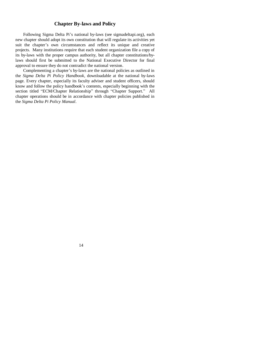## **Chapter By-laws and Policy**

Following Sigma Delta Pi's national by-laws (see sigmadeltapi.org), each new chapter should adopt its own constitution that will regulate its activities yet suit the chapter's own circumstances and reflect its unique and creative projects. Many institutions require that each student organization file a copy of its by-laws with the proper campus authority, but all chapter constitutions/bylaws should first be submitted to the National Executive Director for final approval to ensure they do not contradict the national version.

Complementing a chapter's by-laws are the national policies as outlined in the *Sigma Delta Pi Policy Handbook*, downloadable at the national by-laws page. Every chapter, especially its faculty adviser and student officers, should know and follow the policy handbook's contents, especially beginning with the section titled "ECM/Chapter Relationship" through "Chapter Support." All chapter operations should be in accordance with chapter policies published in the *Sigma Delta Pi Policy Manual*.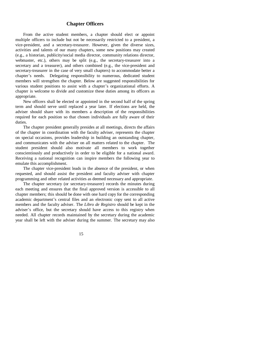## **Chapter Officers**

From the active student members, a chapter should elect or appoint multiple officers to include but not be necessarily restricted to a president, a vice-president, and a secretary-treasurer. However, given the diverse sizes, activities and talents of our many chapters, some new positions may created (e.g., a historian, publicity/social media director, community relations director, webmaster, etc.), others may be split (e.g., the secretary-treasurer into a secretary and a treasurer), and others combined (e.g., the vice-president and secretary-treasurer in the case of very small chapters) to accommodate better a chapter's needs. Delegating responsibility to numerous, dedicated student members will strengthen the chapter. Below are suggested responsibilities for various student positions to assist with a chapter's organizational efforts. A chapter is welcome to divide and customize these duties among its officers as appropriate.

New officers shall be elected or appointed in the second half of the spring term and should serve until replaced a year later. If elections are held, the adviser should share with its members a description of the responsibilities required for each position so that chosen individuals are fully aware of their duties.

The chapter president generally presides at all meetings, directs the affairs of the chapter in coordination with the faculty adviser, represents the chapter on special occasions, provides leadership in building an outstanding chapter, and communicates with the adviser on all matters related to the chapter. The student president should also motivate all members to work together conscientiously and productively in order to be eligible for a national award. Receiving a national recognition can inspire members the following year to emulate this accomplishment.

The chapter vice-president leads in the absence of the president, or when requested, and should assist the president and faculty adviser with chapter programming and other related activities as deemed necessary and appropriate.

The chapter secretary (or secretary-treasurer) records the minutes during each meeting and ensures that the final approved version is accessible to all chapter members; this should be done with one hard copy for the corresponding academic department's central files and an electronic copy sent to all active members and the faculty adviser. The *Libro de Registro* should be kept in the adviser's office, but the secretary should have access to this registry when needed. All chapter records maintained by the secretary during the academic year shall be left with the adviser during the summer. The secretary may also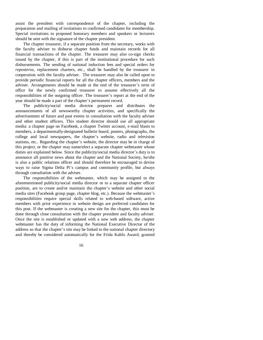assist the president with correspondence of the chapter, including the preparation and mailing of invitations to confirmed candidates for membership. Special invitations to proposed honorary members and speakers or lecturers should be sent with the signature of the chapter president.

The chapter treasurer, if a separate position from the secretary, works with the faculty adviser to disburse chapter funds and maintain records for all financial transactions of the chapter. The treasurer may also co-sign checks issued by the chapter, if this is part of the institutional procedure for such disbursements. The sending of national induction fees and special orders for *reposteros*, replacement charters, etc., shall be handled by the treasurer in cooperation with the faculty adviser. The treasurer may also be called upon to provide periodic financial reports for all the chapter officers, members and the adviser. Arrangements should be made at the end of the treasurer's term of office for the newly confirmed treasurer to assume effectively all the responsibilities of the outgoing officer. The treasurer's report at the end of the year should be made a part of the chapter's permanent record.

The publicity/social media director prepares and distributes the announcements of all newsworthy chapter activities, and specifically the advertisement of future and past events in consultation with the faculty adviser and other student officers. This student director should use all appropriate media: a chapter page on Facebook, a chapter Twitter account, e-mail blasts to members, a departmentally-designated bulletin board, posters, photographs, the college and local newspapers, the chapter's website, radio and television stations, etc.. Regarding the chapter's website, the director may be in charge of this project, or the chapter may name/elect a separate chapter webmaster whose duties are explained below. Since the publicity/social media director's duty is to announce all positive news about the chapter and the National Society, he/she is also a public relations officer and should therefore be encouraged to devise ways to raise Sigma Delta Pi's campus and community profile, but always through consultation with the adviser.

The responsibilities of the webmaster, which may be assigned to the aforementioned publicity/social media director or to a separate chapter officer position, are to create and/or maintain the chapter's website and other social media sites (Facebook group page, chapter blog, etc.). Because the webmaster's responsibilities require special skills related to web-based software, active members with prior experience in website design are preferred candidates for this post. If the webmaster is creating a new site for the chapter, this must be done through close consultation with the chapter president and faculty adviser. Once the site is established or updated with a new web address, the chapter webmaster has the duty of informing the National Executive Director of the address so that the chapter's site may be linked to the national chapter directory and thereby be considered automatically for the Frida Kahlo Award, granted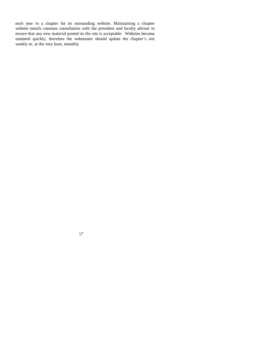each year to a chapter for its outstanding website. Maintaining a chapter website entails constant consultation with the president and faculty adviser to ensure that any new material posted on the site is acceptable. Websites become outdated quickly, therefore the webmaster should update the chapter's site weekly or, at the very least, monthly.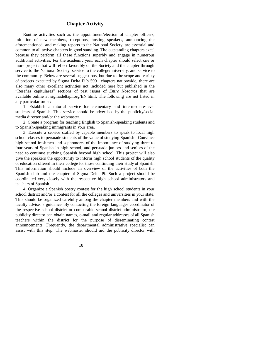## **Chapter Activity**

Routine activities such as the appointment/election of chapter officers, initiation of new members, receptions, hosting speakers, announcing the aforementioned, and making reports to the National Society, are essential and common to all active chapters in good standing. The outstanding chapters excel because they perform all these functions superbly and engage in numerous additional activities. For the academic year, each chapter should select one or more projects that will reflect favorably on the Society and the chapter through service to the National Society, service to the college/university, and service to the community. Below are several suggestions, but due to the scope and variety of projects executed by Sigma Delta Pi's 590+ chapters nationwide, there are also many other excellent activities not included here but published in the "Reseñas capitulares" sections of past issues of *Entre Nosotros* that are available online at sigmadeltapi.org/EN.html. The following are not listed in any particular order:

1. Establish a tutorial service for elementary and intermediate-level students of Spanish. This service should be advertised by the publicity/social media director and/or the webmaster.

2. Create a program for teaching English to Spanish-speaking students and to Spanish-speaking immigrants in your area.

3. Execute a service staffed by capable members to speak to local high school classes to persuade students of the value of studying Spanish. Convince high school freshmen and sophomores of the importance of studying three to four years of Spanish in high school, and persuade juniors and seniors of the need to continue studying Spanish beyond high school. This project will also give the speakers the opportunity to inform high school students of the quality of education offered in their college for those continuing their study of Spanish. This information should include an overview of the activities of both the Spanish club and the chapter of Sigma Delta Pi. Such a project should be coordinated very closely with the respective high school administrators and teachers of Spanish.

4. Organize a Spanish poetry contest for the high school students in your school district and/or a contest for all the colleges and universities in your state. This should be organized carefully among the chapter members and with the faculty adviser's guidance. By contacting the foreign languages coordinator of the respective school district or comparable school district administrator, the publicity director can obtain names, e-mail and regular addresses of all Spanish teachers within the district for the purpose of disseminating contest announcements. Frequently, the departmental administrative specialist can assist with this step. The webmaster should aid the publicity director with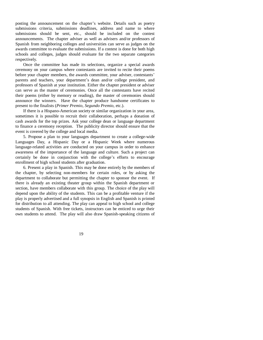posting the announcement on the chapter's website. Details such as poetry submissions criteria, submissions deadlines, address and name to where submissions should be sent, etc., should be included on the contest announcements. The chapter adviser as well as advisers and/or professors of Spanish from neighboring colleges and universities can serve as judges on the awards committee to evaluate the submissions. If a contest is done for both high schools and colleges, judges should evaluate for the two separate categories respectively.

Once the committee has made its selections, organize a special awards ceremony on your campus where contestants are invited to recite their poems before your chapter members, the awards committee, your adviser, contestants' parents and teachers, your department's dean and/or college president, and professors of Spanish at your institution. Either the chapter president or adviser can serve as the master of ceremonies. Once all the contestants have recited their poems (either by memory or reading), the master of ceremonies should announce the winners. Have the chapter produce handsome certificates to present to the finalists (*Primer Premio*, *Segundo Premio*, etc.).

If there is a Hispano-American society or similar organization in your area, sometimes it is possible to recruit their collaboration, perhaps a donation of cash awards for the top prizes. Ask your college dean or language department to finance a ceremony reception. The publicity director should ensure that the event is covered by the college and local media.

5. Propose a plan to your languages department to create a college-wide Languages Day, a Hispanic Day or a Hispanic Week where numerous language-related activities are conducted on your campus in order to enhance awareness of the importance of the language and culture. Such a project can certainly be done in conjunction with the college's efforts to encourage enrollment of high school students after graduation.

6. Present a play in Spanish. This may be done entirely by the members of the chapter, by selecting non-members for certain roles, or by asking the department to collaborate but permitting the chapter to sponsor the event. If there is already an existing theater group within the Spanish department or section, have members collaborate with this group. The choice of the play will depend upon the ability of the students. This can be a profitable venture if the play is properly advertised and a full synopsis in English and Spanish is printed for distribution to all attending. The play can appeal to high school and college students of Spanish. With free tickets, instructors can be enticed to urge their own students to attend. The play will also draw Spanish-speaking citizens of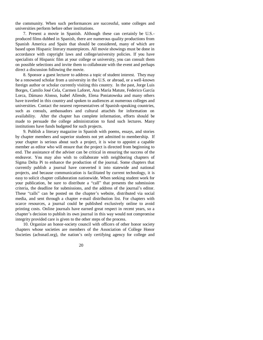the community. When such performances are successful, some colleges and universities perform before other institutions.

7. Present a movie in Spanish. Although these can certainly be U.S. produced films dubbed in Spanish, there are numerous quality productions from Spanish America and Spain that should be considered, many of which are based upon Hispanic literary masterpieces. All movie showings must be done in accordance with copyright laws and college/university policies. If you have specialists of Hispanic film at your college or university, you can consult them on possible selections and invite them to collaborate with the event and perhaps direct a discussion following the movie.

8. Sponsor a guest lecturer to address a topic of student interest. They may be a renowned scholar from a university in the U.S. or abroad, or a well-known foreign author or scholar currently visiting this country. In the past, Jorge Luis Borges, Camilo José Cela, Carmen Laforet, Ana María Matute, Federico García Lorca, Dámaso Alonso, Isabel Allende, Elena Poniatowska and many others have traveled in this country and spoken to audiences at numerous colleges and universities. Contact the nearest representatives of Spanish-speaking countries, such as consuls, ambassadors and cultural attachés for information on availability. After the chapter has complete information, efforts should be made to persuade the college administration to fund such lectures. Many institutions have funds budgeted for such projects.

9. Publish a literary magazine in Spanish with poems, essays, and stories by chapter members and superior students not yet admitted to membership. If your chapter is serious about such a project, it is wise to appoint a capable member as editor who will ensure that the project is directed from beginning to end. The assistance of the adviser can be critical in ensuring the success of the endeavor. You may also wish to collaborate with neighboring chapters of Sigma Delta Pi to enhance the production of the journal. Some chapters that currently publish a journal have converted it into statewide and national projects, and because communication is facilitated by current technology, it is easy to solicit chapter collaboration nationwide. When seeking student work for your publication, be sure to distribute a "call" that presents the submission criteria, the deadline for submissions, and the address of the journal's editor. These "calls" can be posted on the chapter's website, distributed via social media, and sent through a chapter e-mail distribution list. For chapters with scarce resources, a journal could be published exclusively online to avoid printing costs. Online journals have earned great respect in recent years, so a chapter's decision to publish its own journal in this way would not compromise integrity provided care is given to the other steps of the process.

10. Organize an honor-society council with officers of other honor society chapters whose societies are members of the Association of College Honor Societies (achsnatl.org), the nation's only certifying agency for college and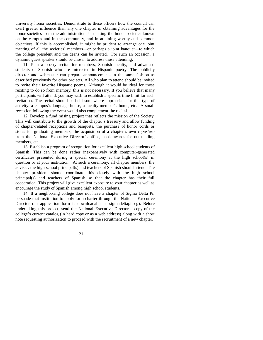university honor societies. Demonstrate to these officers how the council can exert greater influence than any one chapter in obtaining advantages for the honor societies from the administration, in making the honor societies known on the campus and in the community, and in attaining worthy and common objectives. If this is accomplished, it might be prudent to arrange one joint meeting of all the societies' members—or perhaps a joint banquet—to which the college president and the deans can be invited. For such an occasion, a dynamic guest speaker should be chosen to address those attending.

11. Plan a poetry recital for members, Spanish faculty, and advanced students of Spanish who are interested in Hispanic poetry. The publicity director and webmaster can prepare announcements in the same fashion as described previously for other projects. All who plan to attend should be invited to recite their favorite Hispanic poems. Although it would be ideal for those reciting to do so from memory, this is not necessary. If you believe that many participants will attend, you may wish to establish a specific time limit for each recitation. The recital should be held somewhere appropriate for this type of activity: a campus's language house, a faculty member's home, etc. A small reception following the event would also complement the recital.

12. Develop a fund raising project that reflects the mission of the Society. This will contribute to the growth of the chapter's treasury and allow funding of chapter-related receptions and banquets, the purchase of honor cords or stoles for graduating members, the acquisition of a chapter's own *repostero* from the National Executive Director's office, book awards for outstanding members, etc.

13. Establish a program of recognition for excellent high school students of Spanish. This can be done rather inexpensively with computer-generated certificates presented during a special ceremony at the high school(s) in question or at your institution. At such a ceremony, all chapter members, the adviser, the high school principal(s) and teachers of Spanish should attend. The chapter president should coordinate this closely with the high school principal(s) and teachers of Spanish so that the chapter has their full cooperation. This project will give excellent exposure to your chapter as well as encourage the study of Spanish among high school students.

14. If a neighboring college does not have a chapter of Sigma Delta Pi, persuade that institution to apply for a charter through the National Executive Director (an application form is downloadable at sigmadeltapi.org). Before undertaking this project, send the National Executive Director a copy of the college's current catalog (in hard copy or as a web address) along with a short note requesting authorization to proceed with the recruitment of a new chapter.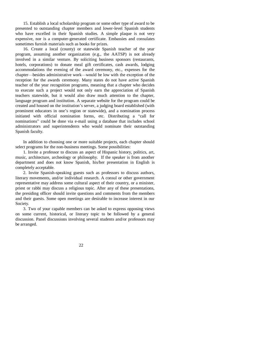15. Establish a local scholarship program or some other type of award to be presented to outstanding chapter members and lower-level Spanish students who have excelled in their Spanish studies. A simple plaque is not very expensive, nor is a computer-generated certificate. Embassies and consulates sometimes furnish materials such as books for prizes.

16. Create a local (county) or statewide Spanish teacher of the year program, assuming another organization (e.g., the AATSP) is not already involved in a similar venture. By soliciting business sponsors (restaurants, hotels, corporations) to donate meal gift certificates, cash awards, lodging accommodations the evening of the award ceremony, etc., expenses for the chapter—besides administrative work—would be low with the exception of the reception for the awards ceremony. Many states do not have active Spanish teacher of the year recognition programs, meaning that a chapter who decides to execute such a project would not only earn the appreciation of Spanish teachers statewide, but it would also draw much attention to the chapter, language program and institution. A separate website for the program could be created and housed on the institution's server, a judging board established (with prominent educators in one's region or statewide), and a nomination process initiated with official nomination forms, etc. Distributing a "call for nominations" could be done via e-mail using a database that includes school administrators and superintendents who would nominate their outstanding Spanish faculty.

In addition to choosing one or more suitable projects, each chapter should select programs for the non-business meetings. Some possibilities:

1. Invite a professor to discuss an aspect of Hispanic history, politics, art, music, architecture, archeology or philosophy. If the speaker is from another department and does not know Spanish, his/her presentation in English is completely acceptable.

2. Invite Spanish-speaking guests such as professors to discuss authors, literary movements, and/or individual research. A consul or other government representative may address some cultural aspect of their country, or a minister, priest or rabbi may discuss a religious topic. After any of these presentations, the presiding officer should invite questions and comments from the members and their guests. Some open meetings are desirable to increase interest in our Society.

3. Two of your capable members can be asked to express opposing views on some current, historical, or literary topic to be followed by a general discussion. Panel discussions involving several students and/or professors may be arranged.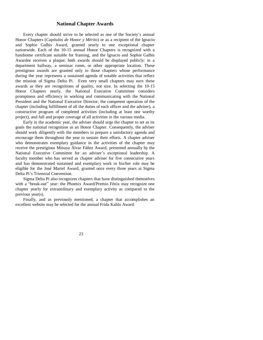#### **National Chapter Awards**

Every chapter should strive to be selected as one of the Society's annual Honor Chapters (*Capítulos de Honor y Mérito*) or as a recipient of the Ignacio and Sophie Galbis Award, granted yearly to one exceptional chapter nationwide. Each of the 10-15 annual Honor Chapters is recognized with a handsome certificate suitable for framing, and the Ignacio and Sophie Galbis Awardee receives a plaque; both awards should be displayed publicly: in a department hallway, a seminar room, or other appropriate location. These prestigious awards are granted only to those chapters whose performance during the year represents a sustained agenda of notable activities that reflect the mission of Sigma Delta Pi. Even very small chapters may earn these awards as they are recognitions of quality, not size. In selecting the 10-15 Honor Chapters yearly, the National Executive Committee considers promptness and efficiency in working and communicating with the National President and the National Executive Director, the competent operation of the chapter (including fulfillment of all the duties of each officer and the adviser), a constructive program of completed activities (including at least one worthy project), and full and proper coverage of all activities in the various media.

Early in the academic year, the adviser should urge the chapter to set as its goals the national recognition as an Honor Chapter. Consequently, the adviser should work diligently with the members to prepare a satisfactory agenda and encourage them throughout the year to sustain their efforts. A chapter adviser who demonstrates exemplary guidance in the activities of the chapter may receive the prestigious Minaya Álvar Fáñez Award, presented annually by the National Executive Committee for an adviser's exceptional leadership. A faculty member who has served as chapter adviser for five consecutive years and has demonstrated sustained and exemplary work in his/her role may be eligible for the José Martel Award, granted once every three years at Sigma Delta Pi's Triennial Convention.

Sigma Delta Pi also recognizes chapters that have distinguished themselves with a "break-out" year: the Phoenix Award/Premio Fénix may recognize one chapter yearly for extraordinary and exemplary activity as compared to the previous year(s).

Finally, and as previously mentioned, a chapter that accomplishes an excellent website may be selected for the annual Frida Kahlo Award.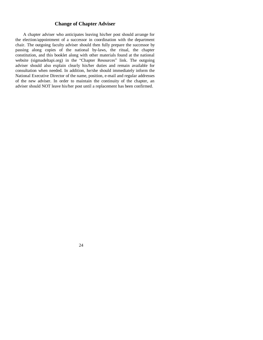## **Change of Chapter Adviser**

A chapter adviser who anticipates leaving his/her post should arrange for the election/appointment of a successor in coordination with the department chair. The outgoing faculty adviser should then fully prepare the successor by passing along copies of the national by-laws, the ritual, the chapter constitution, and this booklet along with other materials found at the national website (sigmadeltapi.org) in the "Chapter Resources" link. The outgoing adviser should also explain clearly his/her duties and remain available for consultation when needed. In addition, he/she should immediately inform the National Executive Director of the name, position, e-mail and regular addresses of the new adviser. In order to maintain the continuity of the chapter, an adviser should NOT leave his/her post until a replacement has been confirmed.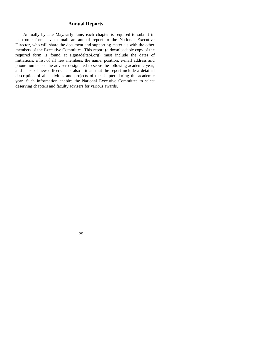## **Annual Reports**

Annually by late May/early June, each chapter is required to submit in electronic format via e-mail an annual report to the National Executive Director, who will share the document and supporting materials with the other members of the Executive Committee. This report (a downloadable copy of the required form is found at sigmadeltapi.org) must include the dates of initiations, a list of all new members, the name, position, e-mail address and phone number of the adviser designated to serve the following academic year, and a list of new officers. It is also critical that the report include a detailed description of all activities and projects of the chapter during the academic year. Such information enables the National Executive Committee to select deserving chapters and faculty advisers for various awards.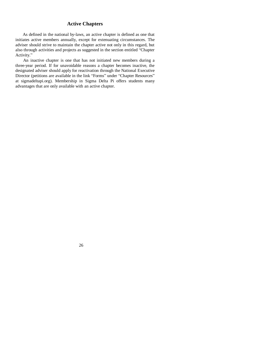## **Active Chapters**

As defined in the national by-laws, an active chapter is defined as one that initiates active members annually, except for extenuating circumstances. The adviser should strive to maintain the chapter active not only in this regard, but also through activities and projects as suggested in the section entitled "Chapter Activity."

An inactive chapter is one that has not initiated new members during a three-year period. If for unavoidable reasons a chapter becomes inactive, the designated adviser should apply for reactivation through the National Executive Director (petitions are available in the link "Forms" under "Chapter Resources" at sigmadeltapi.org). Membership in Sigma Delta Pi offers students many advantages that are only available with an active chapter.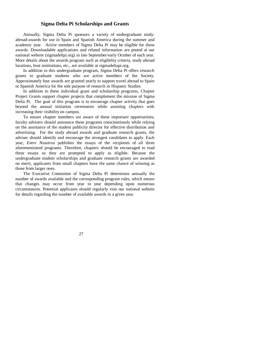#### **Sigma Delta Pi Scholarships and Grants**

Annually, Sigma Delta Pi sponsors a variety of undergraduate studyabroad-awards for use in Spain and Spanish America during the summer and academic year. Active members of Sigma Delta Pi may be eligible for these awards. Downloadable applications and related information are posted at our national website (sigmadeltpi.org) in late September/early October of each year. More details about the awards program such as eligibility criteria, study abroad locations, host institutions, etc., are available at sigmadeltapi.org.

In addition to this undergraduate program, Sigma Delta Pi offers research grants to graduate students who are active members of the Society. Approximately four awards are granted yearly to support travel abroad to Spain or Spanish America for the sole purpose of research in Hispanic Studies.

In addition to these individual grant and scholarship programs, Chapter Project Grants support chapter projects that complement the mission of Sigma Delta Pi. The goal of this program is to encourage chapter activity that goes beyond the annual initiation ceremonies while assisting chapters with increasing their visibility on campus.

To ensure chapter members are aware of these important opportunities, faculty advisers should announce these programs conscientiously while relying on the assistance of the student publicity director for effective distribution and advertising. For the study abroad awards and graduate research grants, the adviser should identify and encourage the strongest candidates to apply. Each year, *Entre Nosotros* publishes the essays of the recipients of all three aforementioned programs. Therefore, chapters should be encouraged to read these essays so they are prompted to apply as eligible. Because the undergraduate student scholarships and graduate research grants are awarded on merit, applicants from small chapters have the same chance of winning as those from larger ones.

The Executive Committee of Sigma Delta Pi determines annually the number of awards available and the corresponding program rules, which means that changes may occur from year to year depending upon numerous circumstances. Potential applicants should regularly visit our national website for details regarding the number of available awards in a given year.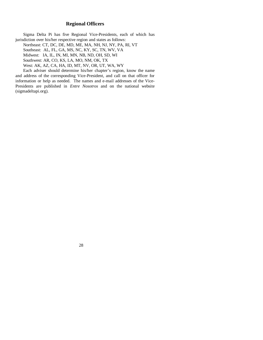## **Regional Officers**

Sigma Delta Pi has five Regional Vice-Presidents, each of which has jurisdiction over his/her respective region and states as follows:

Northeast: CT, DC, DE, MD, ME, MA, NH, NJ, NY, PA, RI, VT Southeast: AL, FL, GA, MS, NC, KY, SC, TN, WV, VA Midwest: IA, IL, IN, MI, MN, NB, ND, OH, SD, WI Southwest: AR, CO, KS, LA, MO, NM, OK, TX West: AK, AZ, CA, HA, ID, MT, NV, OR, UT, WA, WY

Each adviser should determine his/her chapter's region, know the name and address of the corresponding Vice-President, and call on that officer for information or help as needed. The names and e-mail addresses of the Vice-Presidents are published in *Entre Nosotros* and on the national website (sigmadeltapi.org).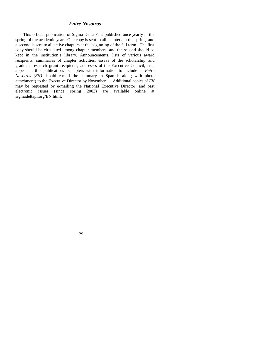#### *Entre Nosotros*

This official publication of Sigma Delta Pi is published once yearly in the spring of the academic year. One copy is sent to all chapters in the spring, and a second is sent to all active chapters at the beginning of the fall term. The first copy should be circulated among chapter members, and the second should be kept in the institution's library. Announcements, lists of various award recipients, summaries of chapter activities, essays of the scholarship and graduate research grant recipients, addresses of the Executive Council, etc., appear in this publication. Chapters with information to include in *Entre Nosotros (EN)* should e-mail the summary in Spanish along with photo attachment) to the Executive Director by November 1. Additional copies of *EN* may be requested by e-mailing the National Executive Director, and past electronic issues (since spring 2003) are available online at sigmadeltapi.org/EN.html.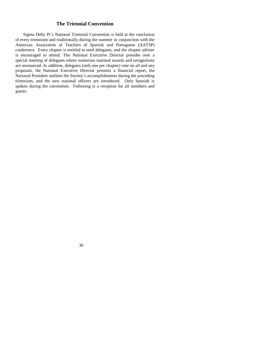## **The Triennial Convention**

Sigma Delta Pi's National Triennial Convention is held at the conclusion of every triennium and traditionally during the summer in conjunction with the American Association of Teachers of Spanish and Portuguese (AATSP) conference. Every chapter is entitled to send delegates, and the chapter adviser is encouraged to attend. The National Executive Director presides over a special meeting of delegates where numerous national awards and recognitions are announced. In addition, delegates (only one per chapter) vote on all and any proposals, the National Executive Director presents a financial report, the National President outlines the Society's accomplishments during the preceding triennium, and the new national officers are introduced. Only Spanish is spoken during the convention. Following is a reception for all members and guests.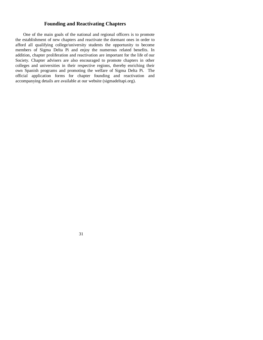## **Founding and Reactivating Chapters**

One of the main goals of the national and regional officers is to promote the establishment of new chapters and reactivate the dormant ones in order to afford all qualifying college/university students the opportunity to become members of Sigma Delta Pi and enjoy the numerous related benefits. In addition, chapter proliferation and reactivation are important for the life of our Society. Chapter advisers are also encouraged to promote chapters in other colleges and universities in their respective regions, thereby enriching their own Spanish programs and promoting the welfare of Sigma Delta Pi. The official application forms for chapter founding and reactivation and accompanying details are available at our website (sigmadeltapi.org).